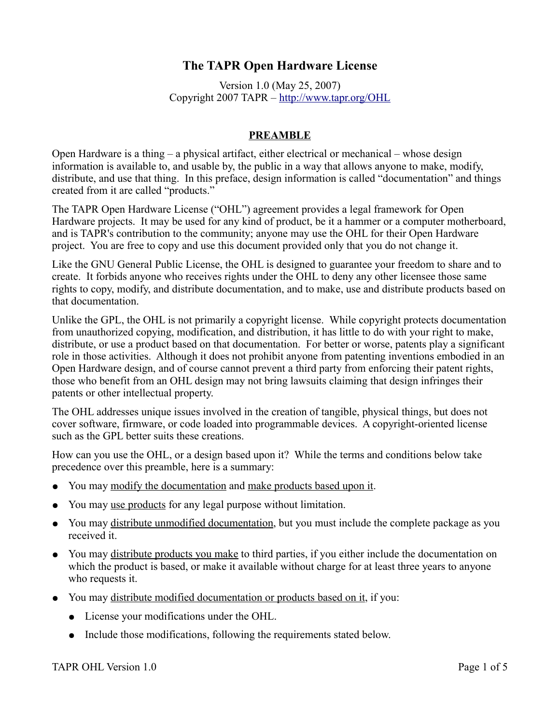# **The TAPR Open Hardware License**

Version 1.0 (May 25, 2007) Copyright 2007 TAPR –<http://www.tapr.org/OHL>

#### **PREAMBLE**

Open Hardware is a thing – a physical artifact, either electrical or mechanical – whose design information is available to, and usable by, the public in a way that allows anyone to make, modify, distribute, and use that thing. In this preface, design information is called "documentation" and things created from it are called "products."

The TAPR Open Hardware License ("OHL") agreement provides a legal framework for Open Hardware projects. It may be used for any kind of product, be it a hammer or a computer motherboard, and is TAPR's contribution to the community; anyone may use the OHL for their Open Hardware project. You are free to copy and use this document provided only that you do not change it.

Like the GNU General Public License, the OHL is designed to guarantee your freedom to share and to create. It forbids anyone who receives rights under the OHL to deny any other licensee those same rights to copy, modify, and distribute documentation, and to make, use and distribute products based on that documentation.

Unlike the GPL, the OHL is not primarily a copyright license. While copyright protects documentation from unauthorized copying, modification, and distribution, it has little to do with your right to make, distribute, or use a product based on that documentation. For better or worse, patents play a significant role in those activities. Although it does not prohibit anyone from patenting inventions embodied in an Open Hardware design, and of course cannot prevent a third party from enforcing their patent rights, those who benefit from an OHL design may not bring lawsuits claiming that design infringes their patents or other intellectual property.

The OHL addresses unique issues involved in the creation of tangible, physical things, but does not cover software, firmware, or code loaded into programmable devices. A copyright-oriented license such as the GPL better suits these creations.

How can you use the OHL, or a design based upon it? While the terms and conditions below take precedence over this preamble, here is a summary:

- You may modify the documentation and make products based upon it.
- You may use products for any legal purpose without limitation.
- You may distribute unmodified documentation, but you must include the complete package as you received it.
- You may distribute products you make to third parties, if you either include the documentation on which the product is based, or make it available without charge for at least three years to anyone who requests it.
- You may distribute modified documentation or products based on it, if you:
	- License your modifications under the OHL.
	- Include those modifications, following the requirements stated below.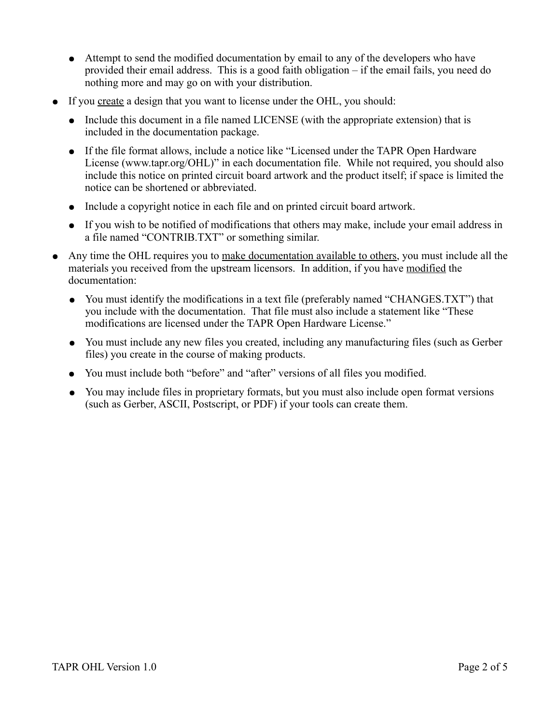- Attempt to send the modified documentation by email to any of the developers who have provided their email address. This is a good faith obligation – if the email fails, you need do nothing more and may go on with your distribution.
- If you create a design that you want to license under the OHL, you should:
	- Include this document in a file named LICENSE (with the appropriate extension) that is included in the documentation package.
	- If the file format allows, include a notice like "Licensed under the TAPR Open Hardware License (www.tapr.org/OHL)" in each documentation file. While not required, you should also include this notice on printed circuit board artwork and the product itself; if space is limited the notice can be shortened or abbreviated.
	- Include a copyright notice in each file and on printed circuit board artwork.
	- If you wish to be notified of modifications that others may make, include your email address in a file named "CONTRIB.TXT" or something similar.
- Any time the OHL requires you to make documentation available to others, you must include all the materials you received from the upstream licensors. In addition, if you have modified the documentation:
	- You must identify the modifications in a text file (preferably named "CHANGES.TXT") that you include with the documentation. That file must also include a statement like "These modifications are licensed under the TAPR Open Hardware License."
	- You must include any new files you created, including any manufacturing files (such as Gerber files) you create in the course of making products.
	- You must include both "before" and "after" versions of all files you modified.
	- You may include files in proprietary formats, but you must also include open format versions (such as Gerber, ASCII, Postscript, or PDF) if your tools can create them.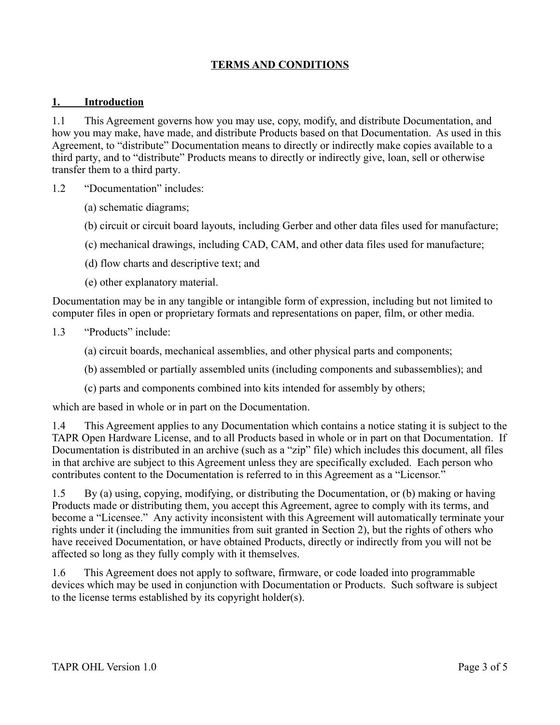## **TERMS AND CONDITIONS**

#### **1. Introduction**

1.1 This Agreement governs how you may use, copy, modify, and distribute Documentation, and how you may make, have made, and distribute Products based on that Documentation. As used in this Agreement, to "distribute" Documentation means to directly or indirectly make copies available to a third party, and to "distribute" Products means to directly or indirectly give, loan, sell or otherwise transfer them to a third party.

- 1.2 "Documentation" includes:
	- (a) schematic diagrams;
	- (b) circuit or circuit board layouts, including Gerber and other data files used for manufacture;
	- (c) mechanical drawings, including CAD, CAM, and other data files used for manufacture;
	- (d) flow charts and descriptive text; and
	- (e) other explanatory material.

Documentation may be in any tangible or intangible form of expression, including but not limited to computer files in open or proprietary formats and representations on paper, film, or other media.

- 1.3 "Products" include:
	- (a) circuit boards, mechanical assemblies, and other physical parts and components;
	- (b) assembled or partially assembled units (including components and subassemblies); and
	- (c) parts and components combined into kits intended for assembly by others;

which are based in whole or in part on the Documentation.

1.4 This Agreement applies to any Documentation which contains a notice stating it is subject to the TAPR Open Hardware License, and to all Products based in whole or in part on that Documentation. If Documentation is distributed in an archive (such as a "zip" file) which includes this document, all files in that archive are subject to this Agreement unless they are specifically excluded. Each person who contributes content to the Documentation is referred to in this Agreement as a "Licensor."

1.5 By (a) using, copying, modifying, or distributing the Documentation, or (b) making or having Products made or distributing them, you accept this Agreement, agree to comply with its terms, and become a "Licensee." Any activity inconsistent with this Agreement will automatically terminate your rights under it (including the immunities from suit granted in Section 2), but the rights of others who have received Documentation, or have obtained Products, directly or indirectly from you will not be affected so long as they fully comply with it themselves.

1.6 This Agreement does not apply to software, firmware, or code loaded into programmable devices which may be used in conjunction with Documentation or Products. Such software is subject to the license terms established by its copyright holder(s).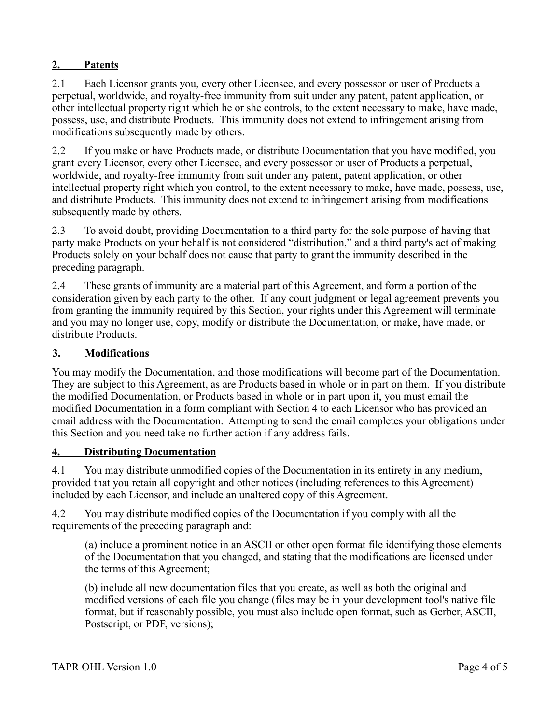### **2. Patents**

2.1 Each Licensor grants you, every other Licensee, and every possessor or user of Products a perpetual, worldwide, and royalty-free immunity from suit under any patent, patent application, or other intellectual property right which he or she controls, to the extent necessary to make, have made, possess, use, and distribute Products. This immunity does not extend to infringement arising from modifications subsequently made by others.

2.2 If you make or have Products made, or distribute Documentation that you have modified, you grant every Licensor, every other Licensee, and every possessor or user of Products a perpetual, worldwide, and royalty-free immunity from suit under any patent, patent application, or other intellectual property right which you control, to the extent necessary to make, have made, possess, use, and distribute Products. This immunity does not extend to infringement arising from modifications subsequently made by others.

2.3 To avoid doubt, providing Documentation to a third party for the sole purpose of having that party make Products on your behalf is not considered "distribution," and a third party's act of making Products solely on your behalf does not cause that party to grant the immunity described in the preceding paragraph.

2.4 These grants of immunity are a material part of this Agreement, and form a portion of the consideration given by each party to the other. If any court judgment or legal agreement prevents you from granting the immunity required by this Section, your rights under this Agreement will terminate and you may no longer use, copy, modify or distribute the Documentation, or make, have made, or distribute Products.

### **3. Modifications**

You may modify the Documentation, and those modifications will become part of the Documentation. They are subject to this Agreement, as are Products based in whole or in part on them. If you distribute the modified Documentation, or Products based in whole or in part upon it, you must email the modified Documentation in a form compliant with Section 4 to each Licensor who has provided an email address with the Documentation. Attempting to send the email completes your obligations under this Section and you need take no further action if any address fails.

#### **4. Distributing Documentation**

4.1 You may distribute unmodified copies of the Documentation in its entirety in any medium, provided that you retain all copyright and other notices (including references to this Agreement) included by each Licensor, and include an unaltered copy of this Agreement.

4.2 You may distribute modified copies of the Documentation if you comply with all the requirements of the preceding paragraph and:

(a) include a prominent notice in an ASCII or other open format file identifying those elements of the Documentation that you changed, and stating that the modifications are licensed under the terms of this Agreement;

(b) include all new documentation files that you create, as well as both the original and modified versions of each file you change (files may be in your development tool's native file format, but if reasonably possible, you must also include open format, such as Gerber, ASCII, Postscript, or PDF, versions);